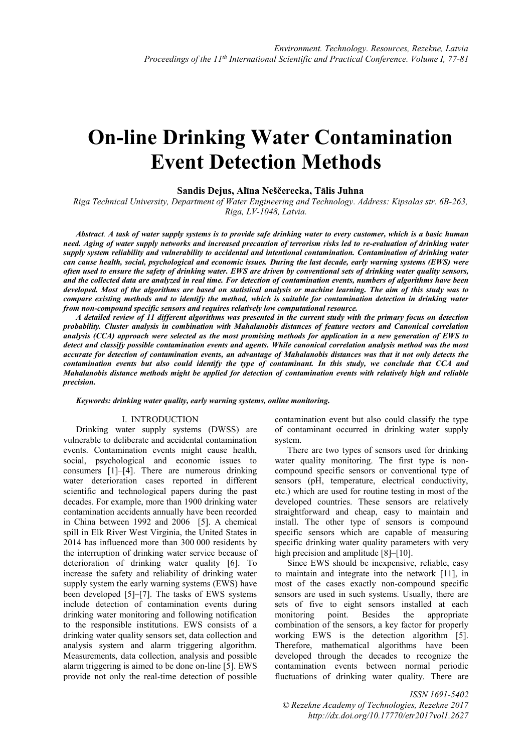# **On-line Drinking Water Contamination Event Detection Methods**

# **Sandis Dejus, Alīna Neščerecka, Tālis Juhna**

*Riga Technical University, Department of Water Engineering and Technology. Address: Kipsalas str. 6B-263, Riga, LV-1048, Latvia.*

*Abstract. A task of water supply systems is to provide safe drinking water to every customer, which is a basic human need. Aging of water supply networks and increased precaution of terrorism risks led to re-evaluation of drinking water supply system reliability and vulnerability to accidental and intentional contamination. Contamination of drinking water can cause health, social, psychological and economic issues. During the last decade, early warning systems (EWS) were often used to ensure the safety of drinking water. EWS are driven by conventional sets of drinking water quality sensors, and the collected data are analyzed in real time. For detection of contamination events, numbers of algorithms have been developed. Most of the algorithms are based on statistical analysis or machine learning. The aim of this study was to compare existing methods and to identify the method, which is suitable for contamination detection in drinking water from non-compound specific sensors and requires relatively low computational resource.* 

*A detailed review of 11 different algorithms was presented in the current study with the primary focus on detection probability. Cluster analysis in combination with Mahalanobis distances of feature vectors and Canonical correlation analysis (CCA) approach were selected as the most promising methods for application in a new generation of EWS to detect and classify possible contamination events and agents. While canonical correlation analysis method was the most accurate for detection of contamination events, an advantage of Mahalanobis distances was that it not only detects the contamination events but also could identify the type of contaminant. In this study, we conclude that CCA and Mahalanobis distance methods might be applied for detection of contamination events with relatively high and reliable precision.*

*Keywords: drinking water quality, early warning systems, online monitoring.*

### I. INTRODUCTION

Drinking water supply systems (DWSS) are vulnerable to deliberate and accidental contamination events. Contamination events might cause health, social, psychological and economic issues to consumers [1]–[4]. There are numerous drinking water deterioration cases reported in different scientific and technological papers during the past decades. For example, more than 1900 drinking water contamination accidents annually have been recorded in China between 1992 and 2006 [5]. A chemical spill in Elk River West Virginia, the United States in 2014 has influenced more than 300 000 residents by the interruption of drinking water service because of deterioration of drinking water quality [6]. To increase the safety and reliability of drinking water supply system the early warning systems (EWS) have been developed [5]–[7]. The tasks of EWS systems include detection of contamination events during drinking water monitoring and following notification to the responsible institutions. EWS consists of a drinking water quality sensors set, data collection and analysis system and alarm triggering algorithm. Measurements, data collection, analysis and possible alarm triggering is aimed to be done on-line [5]. EWS provide not only the real-time detection of possible

contamination event but also could classify the type of contaminant occurred in drinking water supply system.

There are two types of sensors used for drinking water quality monitoring. The first type is noncompound specific sensors or conventional type of sensors (pH, temperature, electrical conductivity, etc.) which are used for routine testing in most of the developed countries. These sensors are relatively straightforward and cheap, easy to maintain and install. The other type of sensors is compound specific sensors which are capable of measuring specific drinking water quality parameters with very high precision and amplitude [8]–[10].

Since EWS should be inexpensive, reliable, easy to maintain and integrate into the network [11], in most of the cases exactly non-compound specific sensors are used in such systems. Usually, there are sets of five to eight sensors installed at each monitoring point. Besides the appropriate combination of the sensors, a key factor for properly working EWS is the detection algorithm [5]. Therefore, mathematical algorithms have been developed through the decades to recognize the contamination events between normal periodic fluctuations of drinking water quality. There are

*ISSN 1691-5402 © Rezekne Academy of Technologies, Rezekne 2017 <http://dx.doi.org/10.17770/etr2017vol1.2627>*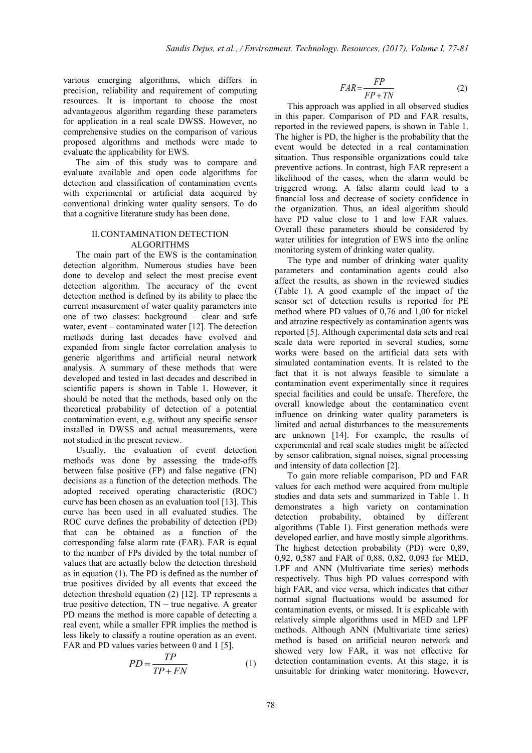various emerging algorithms, which differs in precision, reliability and requirement of computing resources. It is important to choose the most advantageous algorithm regarding these parameters for application in a real scale DWSS. However, no comprehensive studies on the comparison of various proposed algorithms and methods were made to evaluate the applicability for EWS.

The aim of this study was to compare and evaluate available and open code algorithms for detection and classification of contamination events with experimental or artificial data acquired by conventional drinking water quality sensors. To do that a cognitive literature study has been done.

# II.CONTAMINATION DETECTION ALGORITHMS

The main part of the EWS is the contamination detection algorithm. Numerous studies have been done to develop and select the most precise event detection algorithm. The accuracy of the event detection method is defined by its ability to place the current measurement of water quality parameters into one of two classes: background – clear and safe water, event – contaminated water [12]. The detection methods during last decades have evolved and expanded from single factor correlation analysis to generic algorithms and artificial neural network analysis. A summary of these methods that were developed and tested in last decades and described in scientific papers is shown in Table 1. However, it should be noted that the methods, based only on the theoretical probability of detection of a potential contamination event, e.g. without any specific sensor installed in DWSS and actual measurements, were not studied in the present review.

Usually, the evaluation of event detection methods was done by assessing the trade-offs between false positive (FP) and false negative (FN) decisions as a function of the detection methods. The adopted received operating characteristic (ROC) curve has been chosen as an evaluation tool [13]. This curve has been used in all evaluated studies. The ROC curve defines the probability of detection (PD) that can be obtained as a function of the corresponding false alarm rate (FAR). FAR is equal to the number of FPs divided by the total number of values that are actually below the detection threshold as in equation (1). The PD is defined as the number of true positives divided by all events that exceed the detection threshold equation (2) [12]. TP represents a true positive detection, TN – true negative. A greater PD means the method is more capable of detecting a real event, while a smaller FPR implies the method is less likely to classify a routine operation as an event. FAR and PD values varies between 0 and 1 [5].

$$
PD = \frac{TP}{TP + FN} \tag{1}
$$

$$
FAR = \frac{FP}{FP + TN}
$$
 (2)

This approach was applied in all observed studies in this paper. Comparison of PD and FAR results, reported in the reviewed papers, is shown in Table 1. The higher is PD, the higher is the probability that the event would be detected in a real contamination situation. Thus responsible organizations could take preventive actions. In contrast, high FAR represent a likelihood of the cases, when the alarm would be triggered wrong. A false alarm could lead to a financial loss and decrease of society confidence in the organization. Thus, an ideal algorithm should have PD value close to 1 and low FAR values. Overall these parameters should be considered by water utilities for integration of EWS into the online monitoring system of drinking water quality.

The type and number of drinking water quality parameters and contamination agents could also affect the results, as shown in the reviewed studies (Table 1). A good example of the impact of the sensor set of detection results is reported for PE method where PD values of 0,76 and 1,00 for nickel and atrazine respectively as contamination agents was reported [5]. Although experimental data sets and real scale data were reported in several studies, some works were based on the artificial data sets with simulated contamination events. It is related to the fact that it is not always feasible to simulate a contamination event experimentally since it requires special facilities and could be unsafe. Therefore, the overall knowledge about the contamination event influence on drinking water quality parameters is limited and actual disturbances to the measurements are unknown [14]. For example, the results of experimental and real scale studies might be affected by sensor calibration, signal noises, signal processing and intensity of data collection [2].

To gain more reliable comparison, PD and FAR values for each method were acquired from multiple studies and data sets and summarized in Table 1. It demonstrates a high variety on contamination detection probability, obtained by different algorithms (Table 1). First generation methods were developed earlier, and have mostly simple algorithms. The highest detection probability (PD) were 0,89, 0,92, 0,587 and FAR of 0,88, 0,82, 0,093 for MED, LPF and ANN (Multivariate time series) methods respectively. Thus high PD values correspond with high FAR, and vice versa, which indicates that either normal signal fluctuations would be assumed for contamination events, or missed. It is explicable with relatively simple algorithms used in MED and LPF methods. Although ANN (Multivariate time series) method is based on artificial neuron network and showed very low FAR, it was not effective for detection contamination events. At this stage, it is unsuitable for drinking water monitoring. However,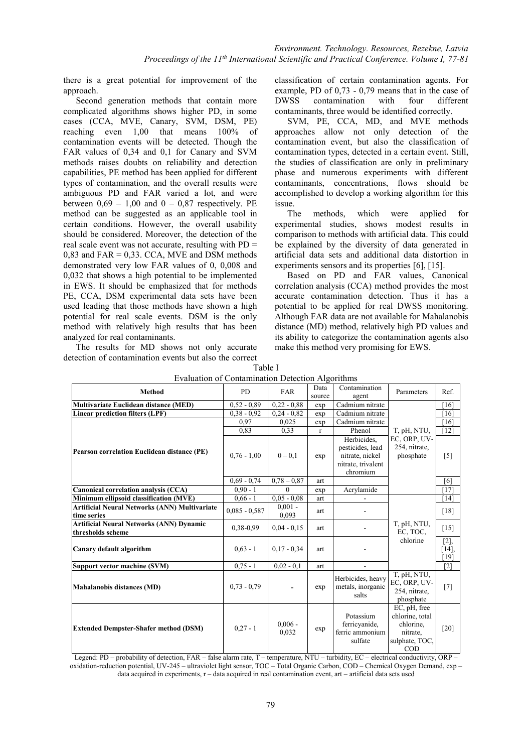there is a great potential for improvement of the approach.

Second generation methods that contain more complicated algorithms shows higher PD, in some cases (CCA, MVE, Canary, SVM, DSM, PE) reaching even 1,00 that means 100% of contamination events will be detected. Though the FAR values of 0,34 and 0,1 for Canary and SVM methods raises doubts on reliability and detection capabilities, PE method has been applied for different types of contamination, and the overall results were ambiguous PD and FAR varied a lot, and were between  $0.69 - 1.00$  and  $0 - 0.87$  respectively. PE method can be suggested as an applicable tool in certain conditions. However, the overall usability should be considered. Moreover, the detection of the real scale event was not accurate, resulting with PD = 0,83 and FAR = 0,33. CCA, MVE and DSM methods demonstrated very low FAR values of 0, 0,008 and 0,032 that shows a high potential to be implemented in EWS. It should be emphasized that for methods PE, CCA, DSM experimental data sets have been used leading that those methods have shown a high potential for real scale events. DSM is the only method with relatively high results that has been analyzed for real contaminants.

The results for MD shows not only accurate detection of contamination events but also the correct classification of certain contamination agents. For example, PD of 0,73 - 0,79 means that in the case of DWSS contamination with four different contaminants, three would be identified correctly.

SVM, PE, CCA, MD, and MVE methods approaches allow not only detection of the contamination event, but also the classification of contamination types, detected in a certain event. Still, the studies of classification are only in preliminary phase and numerous experiments with different contaminants, concentrations, flows should be accomplished to develop a working algorithm for this issue.

The methods, which were applied for experimental studies, shows modest results in comparison to methods with artificial data. This could be explained by the diversity of data generated in artificial data sets and additional data distortion in experiments sensors and its properties [6], [15].

Based on PD and FAR values, Canonical correlation analysis (CCA) method provides the most accurate contamination detection. Thus it has a potential to be applied for real DWSS monitoring. Although FAR data are not available for Mahalanobis distance (MD) method, relatively high PD values and its ability to categorize the contamination agents also make this method very promising for EWS.

| $E$ , and the set of communities of $E$ of $E$ and $E$ and $E$ and $E$ and $E$ and $E$ and $E$ are $E$ and $E$ are $E$ and $E$ are $E$ and $E$ are $E$ and $E$ are $E$ and $E$ are $E$ and $E$ are $E$ and $E$ are $E$ and $E$<br><b>Method</b> | P <sub>D</sub>  | <b>FAR</b>         | Data         | Contamination                                                                        | Parameters                                                                        | Ref.                   |
|-------------------------------------------------------------------------------------------------------------------------------------------------------------------------------------------------------------------------------------------------|-----------------|--------------------|--------------|--------------------------------------------------------------------------------------|-----------------------------------------------------------------------------------|------------------------|
|                                                                                                                                                                                                                                                 |                 |                    | source       | agent                                                                                |                                                                                   |                        |
| <b>Multivariate Euclidean distance (MED)</b>                                                                                                                                                                                                    | $0.52 - 0.89$   | $0.22 - 0.88$      | exp          | Cadmium nitrate                                                                      |                                                                                   | [16]                   |
| <b>Linear prediction filters (LPF)</b>                                                                                                                                                                                                          | $0.38 - 0.92$   | $0.24 - 0.82$      | exp          | Cadmium nitrate                                                                      |                                                                                   | [16]                   |
| Pearson correlation Euclidean distance (PE)                                                                                                                                                                                                     | 0,97            | 0,025              | exp          | Cadmium nitrate                                                                      |                                                                                   | [16]                   |
|                                                                                                                                                                                                                                                 | 0.83            | 0,33               | $\mathbf{r}$ | Phenol                                                                               | T, pH, NTU,                                                                       | $[12]$                 |
|                                                                                                                                                                                                                                                 | $0.76 - 1.00$   | $0 - 0.1$          | exp          | Herbicides.<br>pesticides, lead<br>nitrate, nickel<br>nitrate, trivalent<br>chromium | EC, ORP, UV-<br>254, nitrate,<br>phosphate                                        | $[5]$                  |
|                                                                                                                                                                                                                                                 | $0.69 - 0.74$   | $0.78 - 0.87$      | art          |                                                                                      |                                                                                   | [6]                    |
| Canonical correlation analysis (CCA)                                                                                                                                                                                                            | $0.90 - 1$      | $\Omega$           | exp          | Acrylamide                                                                           |                                                                                   | [17]                   |
| Minimum ellipsoid classification (MVE)                                                                                                                                                                                                          | $0.66 - 1$      | $0.05 - 0.08$      | art          |                                                                                      | T, pH, NTU,<br>EC, TOC,<br>chlorine                                               | $[14]$                 |
| <b>Artificial Neural Networks (ANN) Multivariate</b><br>time series                                                                                                                                                                             | $0.085 - 0.587$ | $0.001 -$<br>0.093 | art          |                                                                                      |                                                                                   | [18]                   |
| <b>Artificial Neural Networks (ANN) Dynamic</b><br>thresholds scheme                                                                                                                                                                            | 0,38-0,99       | $0.04 - 0.15$      | art          |                                                                                      |                                                                                   | $[15]$                 |
| Canary default algorithm                                                                                                                                                                                                                        | $0.63 - 1$      | $0.17 - 0.34$      | art          |                                                                                      |                                                                                   | [2],<br>$[14]$<br>[19] |
| Support vector machine (SVM)                                                                                                                                                                                                                    | $0.75 - 1$      | $0.02 - 0.1$       | art          | $\overline{\phantom{a}}$                                                             |                                                                                   | $[2]$                  |
| Mahalanobis distances (MD)                                                                                                                                                                                                                      | $0.73 - 0.79$   |                    | exp          | Herbicides, heavy<br>metals, inorganic<br>salts                                      | T, pH, NTU,<br>EC, ORP, UV-<br>254, nitrate,<br>phosphate                         | $[7]$                  |
| <b>Extended Dempster-Shafer method (DSM)</b><br>4.1.1.141<br>$\sim$                                                                                                                                                                             | $0.27 - 1$      | $0.006 -$<br>0,032 | exp          | Potassium<br>ferricyanide,<br>ferric ammonium<br>sulfate                             | EC, pH, free<br>chlorine, total<br>chlorine,<br>nitrate,<br>sulphate, TOC,<br>COD | $[20]$                 |

| Table I                                          |
|--------------------------------------------------|
| Evaluation of Contamination Detection Algorithms |

Legend: PD – probability of detection, FAR – false alarm rate, T – temperature, NTU – turbidity, EC – electrical conductivity, ORP – oxidation-reduction potential, UV-245 – ultraviolet light sensor, TOC – Total Organic Carbon, COD – Chemical Oxygen Demand, exp – data acquired in experiments, r – data acquired in real contamination event, art – artificial data sets used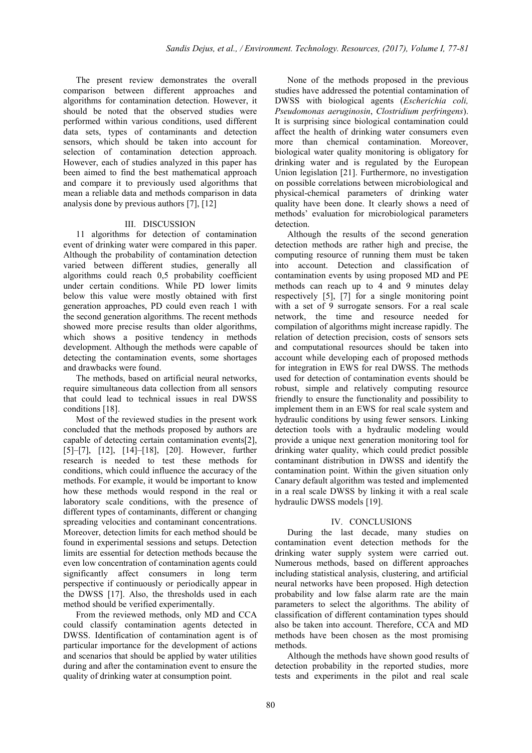The present review demonstrates the overall comparison between different approaches and algorithms for contamination detection. However, it should be noted that the observed studies were performed within various conditions, used different data sets, types of contaminants and detection sensors, which should be taken into account for selection of contamination detection approach. However, each of studies analyzed in this paper has been aimed to find the best mathematical approach and compare it to previously used algorithms that mean a reliable data and methods comparison in data analysis done by previous authors [7], [12]

#### III. DISCUSSION

11 algorithms for detection of contamination event of drinking water were compared in this paper. Although the probability of contamination detection varied between different studies, generally all algorithms could reach 0,5 probability coefficient under certain conditions. While PD lower limits below this value were mostly obtained with first generation approaches, PD could even reach 1 with the second generation algorithms. The recent methods showed more precise results than older algorithms, which shows a positive tendency in methods development. Although the methods were capable of detecting the contamination events, some shortages and drawbacks were found.

The methods, based on artificial neural networks, require simultaneous data collection from all sensors that could lead to technical issues in real DWSS conditions [18].

Most of the reviewed studies in the present work concluded that the methods proposed by authors are capable of detecting certain contamination events[2], [5]–[7], [12], [14]–[18], [20]. However, further research is needed to test these methods for conditions, which could influence the accuracy of the methods. For example, it would be important to know how these methods would respond in the real or laboratory scale conditions, with the presence of different types of contaminants, different or changing spreading velocities and contaminant concentrations. Moreover, detection limits for each method should be found in experimental sessions and setups. Detection limits are essential for detection methods because the even low concentration of contamination agents could significantly affect consumers in long term perspective if continuously or periodically appear in the DWSS [17]. Also, the thresholds used in each method should be verified experimentally.

From the reviewed methods, only MD and CCA could classify contamination agents detected in DWSS. Identification of contamination agent is of particular importance for the development of actions and scenarios that should be applied by water utilities during and after the contamination event to ensure the quality of drinking water at consumption point.

None of the methods proposed in the previous studies have addressed the potential contamination of DWSS with biological agents (*Escherichia coli, Pseudomonas aeruginosin*, *Clostridium perfringens*). It is surprising since biological contamination could affect the health of drinking water consumers even more than chemical contamination. Moreover, biological water quality monitoring is obligatory for drinking water and is regulated by the European Union legislation [21]. Furthermore, no investigation on possible correlations between microbiological and physical-chemical parameters of drinking water quality have been done. It clearly shows a need of methods' evaluation for microbiological parameters detection.

Although the results of the second generation detection methods are rather high and precise, the computing resource of running them must be taken into account. Detection and classification of contamination events by using proposed MD and PE methods can reach up to 4 and 9 minutes delay respectively [5], [7] for a single monitoring point with a set of 9 surrogate sensors. For a real scale network, the time and resource needed for compilation of algorithms might increase rapidly. The relation of detection precision, costs of sensors sets and computational resources should be taken into account while developing each of proposed methods for integration in EWS for real DWSS. The methods used for detection of contamination events should be robust, simple and relatively computing resource friendly to ensure the functionality and possibility to implement them in an EWS for real scale system and hydraulic conditions by using fewer sensors. Linking detection tools with a hydraulic modeling would provide a unique next generation monitoring tool for drinking water quality, which could predict possible contaminant distribution in DWSS and identify the contamination point. Within the given situation only Canary default algorithm was tested and implemented in a real scale DWSS by linking it with a real scale hydraulic DWSS models [19].

# IV. CONCLUSIONS

During the last decade, many studies on contamination event detection methods for the drinking water supply system were carried out. Numerous methods, based on different approaches including statistical analysis, clustering, and artificial neural networks have been proposed. High detection probability and low false alarm rate are the main parameters to select the algorithms. The ability of classification of different contamination types should also be taken into account. Therefore, CCA and MD methods have been chosen as the most promising methods.

Although the methods have shown good results of detection probability in the reported studies, more tests and experiments in the pilot and real scale